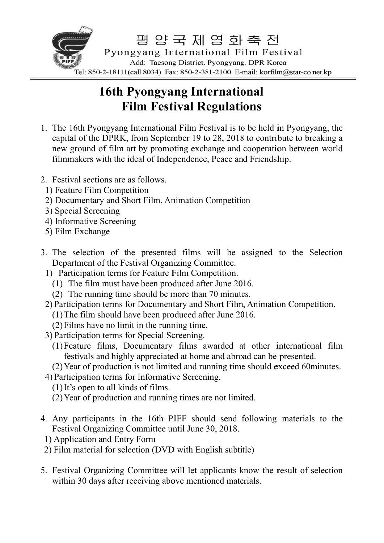

## **16th Pyongyang International Film Festival Regulations**

- 1. The 16th Pyongyang International Film Festival is to be held in Pyongyang, the capital of the DPRK, from September 19 to 28, 2018 to contribute to breaking a new ground of film art by promoting exchange and cooperation between world filmmakers with the ideal of Independence, Peace and Friendship.
- 2. Festival sections are as follows.
	- 1) Feature Film Competition
	- 2) Documentary and Short Film, Animation Competition
	- 3) Special Screening
	- 4) Informative Screening
	- 5) Film Exchange
- 3. The selection of the presented films will be assigned to the Selection Department of the Festival Organizing Committee.
	- 1) Participation terms for Feature Film Competition.
		- (1) The film must have been produced after June 2016.
		- (2) The running time should be more than 70 minutes.
	- 2) Participation terms for Documentary and Short Film, Animation Competition.
		- (1) The film should have been produced after June 2016.
		- $(2)$  Films have no limit in the running time.
	- 3) Participation terms for Special Screening.
		- (1) Feature films, Documentary films awarded at other international film festivals and highly appreciated at home and abroad can be presented.
		- (2) Year of production is not limited and running time should exceed 60minutes.
- 4) Participation terms for Informative Screening.
	- $(1)$  It's open to all kinds of films.
	- (2) Year of production and running times are not limited.
- 4. Any participants in the 16th PIFF should send following materials to the Festival Organizing Committee until June 30, 2018.
	- 1) Application and Entry Form
- 2) Film material for selection (DVD with English subtitle)
- 5. Festival Organizing Committee will let applicants know the result of selection within 30 days after receiving above mentioned materials.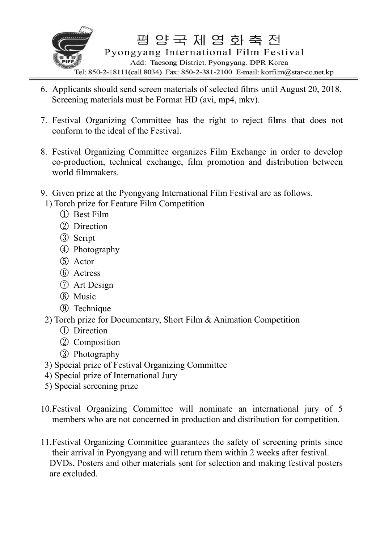

- 6. Applicants should send screen materials of selected films until August 20, 2018. Screening materials must be Format HD (avi, mp4, mkv).
- 7. Festival Organizing Committee has the right to reject films that does not conform to the ideal of the Festival.
- 8. Festival Organizing Committee organizes Film Exchange in order to develop co-production, technical exchange, film promotion and distribution between world d filmmak kers.
- 9. Given prize at the Pyongyang International Film Festival are as follows.
- 1) Torch prize for Feature Film Competition
	- ① Best Film
	- ② Direction
	- ③ Script
	- ① Best Film<br>② Direction<br>③ Script<br>④ Photography
	- ⑤ Actor
	- ⑥ Actress
	- ⑦ Art Desi ign
	- ⑧ Music
	- **9** Technique
- 2) Torch prize for Documentary, Short Film  $&$  Animation Competition
	- ① Direction
	- 1 Direction<br>2 Composition
	- ③ Photogra aphy
- 3) Special prize of Festival Organizing Committee
- 4) Special prize of International Jury
- 5) Special screening prize
- 10. Festival Organizing Committee will nominate an international jur members who are not concerned in production and distribution for competition. .<br>ury of 5
- 11. Festival Organizing Committee guarantees the safety of screening prints since their arrival in Pyongyang and will return them within 2 weeks after festival. DVDs, Posters and other materials sent for selection and making festival posters are ex xcluded.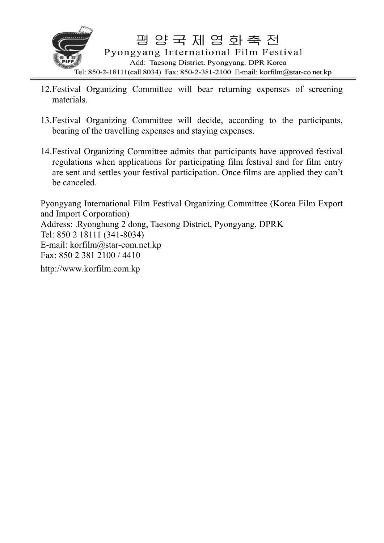

- 12. Festival Organizing Committee will bear returning expenses of screening materials
- 13. Festival Organizing Committee will decide, according to the participants, bearing of the travelling expenses and staying expenses.
- 14. Festival Organizing Committee admits that participants have approved festival regulations when applications for participating film festival and for film entry are sent and settles your festival participation. Once films are applied they can't be canceled

Pyongyang International Film Festival Organizing Committee (Korea Film Export) and Import Corporation) Address: Ryonghung 2 dong, Taesong District, Pyongyang, DPRK Tel: 850 2 18111 (341-8034) E-mail: korfilm@star-com.net.kp Fax: 850 2 381 2100 / 4410

http://www.korfilm.com.kp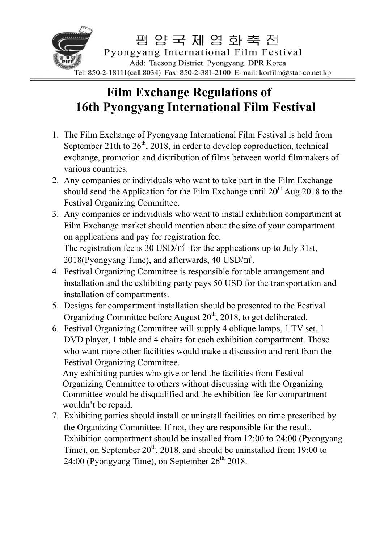

## 16th Pyongyang International Film Festival **Film Exchange Regulations of**

- 1. The Film Exchange of Pyongyang International Film Festival is held from September 21th to  $26<sup>th</sup>$ , 2018, in order to develop coproduction, technical exchange, promotion and distribution of films between world filmmakers of various countries.
- 2. Any companies or individuals who want to take part in the Film Exchange should send the Application for the Film Exchange until  $20^{th}$  Aug 2018 to the Festival Organizing Committee.
- 3. Any companies or individuals who want to install exhibition compartment at Film Exchange market should mention about the size of your compartment on applications and pay for registration fee. The registration fee is 30 USD/ $m^2$  for the applications up to July 31st,  $2018$ (Pyongyang Time), and afterwards, 40 USD/ $m^2$ .
- 4. Festival Organizing Committee is responsible for table arrangement and installation and the exhibiting party pays 50 USD for the transportation and installation of compartments.
- 5. Designs for compartment installation should be presented to the Festival Organizing Committee before August  $20<sup>th</sup>$ , 2018, to get deliberated.
- 6. Festival Organizing Committee will supply 4 oblique lamps, 1 TV set, 1 DVD player, 1 table and 4 chairs for each exhibition compartment. Those who want more other facilities would make a discussion and rent from the Festival Organizing Committee.

Any exhibiting parties who give or lend the facilities from Festival Organizing Committee to others without discussing with the Organizing Committee would be disqualified and the exhibition fee for compartment wouldn't be repaid.

7. Exhibiting parties should install or uninstall facilities on time prescribed by the Organizing Committee. If not, they are responsible for the result. Exhibition compartment should be installed from 12:00 to 24:00 (Pyongyang Time), on September  $20<sup>th</sup>$ , 2018, and should be uninstalled from 19:00 to  $24:00$  (Pyongyang Time), on September  $26<sup>th</sup>$ , 2018.